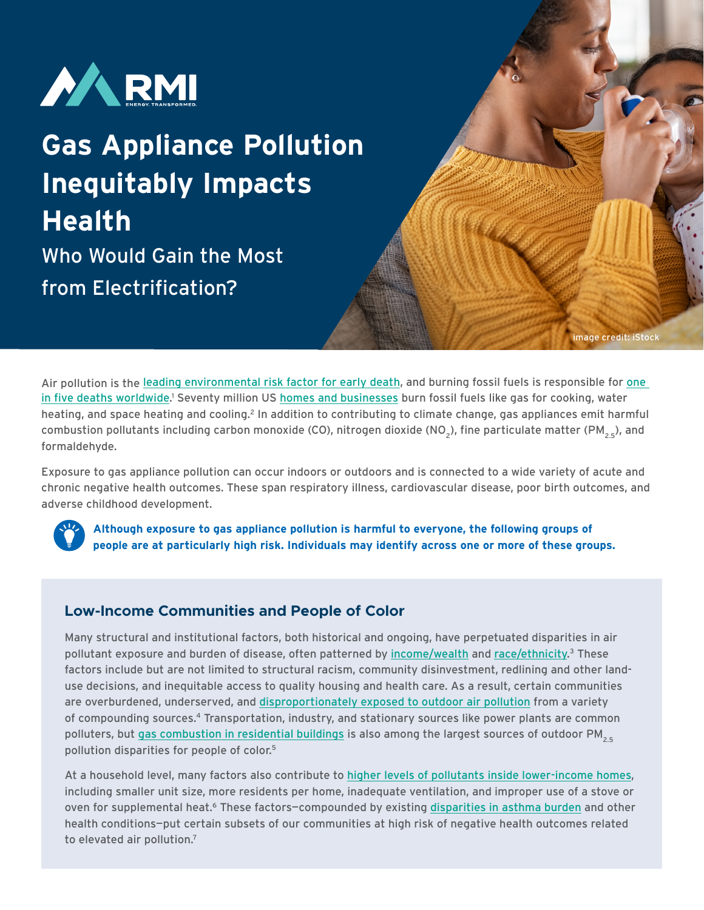

# **Gas Appliance Pollution Inequitably Impacts Health**  Who Would Gain the Most from Electrification?

Air pollution is the [leading environmental risk factor for early death](https://academic.oup.com/cardiovascres/article/116/11/1910/5770885), and burning fossil fuels is responsible for [one](https://www.sciencedirect.com/science/article/abs/pii/S0013935121000487)  [in five deaths worldwide](https://www.sciencedirect.com/science/article/abs/pii/S0013935121000487).<sup>1</sup> Seventy million US [homes and businesses](https://rmi.org/wp-content/uploads/2018/06/RMI_Economics_of_Electrifying_Buildings_2018.pdf) burn fossil fuels like gas for cooking, water heating, and space heating and cooling.<sup>2</sup> In addition to contributing to climate change, gas appliances emit harmful combustion pollutants including carbon monoxide (CO), nitrogen dioxide (NO<sub>2</sub>), fine particulate matter (PM<sub>2E</sub>), and formaldehyde.

image credit: iStock

Exposure to gas appliance pollution can occur indoors or outdoors and is connected to a wide variety of acute and chronic negative health outcomes. These span respiratory illness, cardiovascular disease, poor birth outcomes, and adverse childhood development.



**Although exposure to gas appliance pollution is harmful to everyone, the following groups of people are at particularly high risk. Individuals may identify across one or more of these groups.**

# **Low-Income Communities and People of Color**

Many structural and institutional factors, both historical and ongoing, have perpetuated disparities in air pollutant exposure and burden of disease, often patterned by <u>income/wealth</u> and <u>race/ethnicity</u>.<sup>3</sup> These factors include but are not limited to structural racism, community disinvestment, redlining and other landuse decisions, and inequitable access to quality housing and health care. As a result, certain communities are overburdened, underserved, and [disproportionately exposed to outdoor air pollution](https://www.lung.org/clean-air/outdoors/who-is-at-risk/disparities) from a variety of compounding sources.4 Transportation, industry, and stationary sources like power plants are common polluters, but [gas combustion in residential buildings](https://advances.sciencemag.org/content/7/18/eabf4491) is also among the largest sources of outdoor  $PM_{2.5}$ pollution disparities for people of color.5

At a household level, many factors also contribute to [higher levels of pollutants inside lower-income homes](https://coeh.ph.ucla.edu/effects-of-residential-gas-appliances-on-indoor-and-outdoor-air-quality-and-public-health-in-california/), including smaller unit size, more residents per home, inadequate ventilation, and improper use of a stove or oven for supplemental heat.<sup>6</sup> These factors-compounded by existing [disparities in asthma burden](https://www.aafa.org/media/1633/ethnic-disparities-burden-treatment-asthma-report.pdf) and other health conditions—put certain subsets of our communities at high risk of negative health outcomes related to elevated air pollution.<sup>7</sup>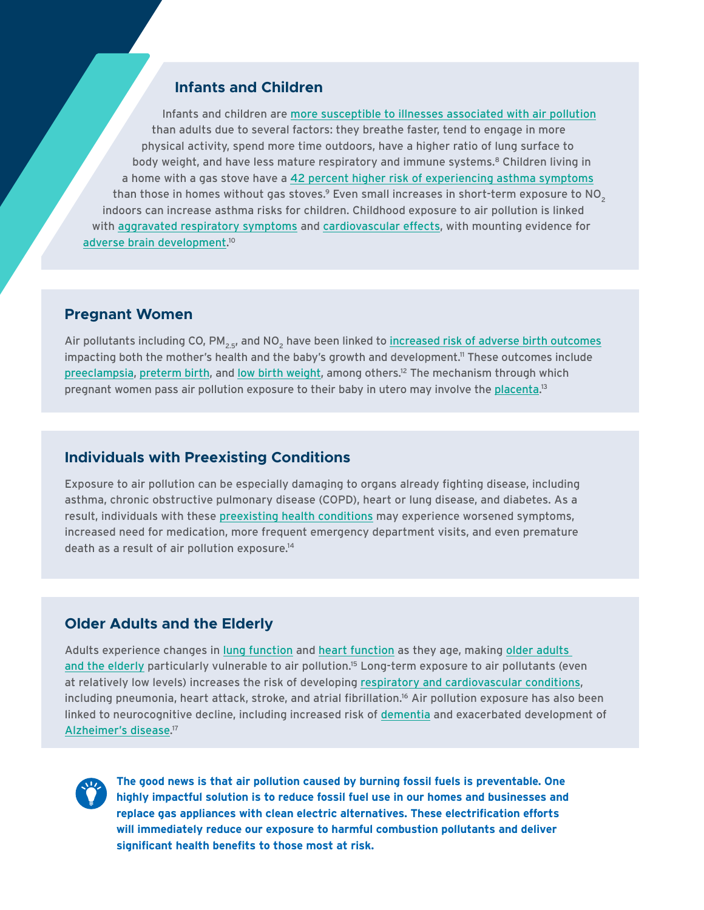## **Infants and Children**

Infants and children are [more susceptible to illnesses associated with air pollution](https://www.unicef.org/media/49966/file/UNICEF_Clear_the_Air_for_Children_30_Oct_2016.pdf) than adults due to several factors: they breathe faster, tend to engage in more physical activity, spend more time outdoors, have a higher ratio of lung surface to body weight, and have less mature respiratory and immune systems.<sup>8</sup> Children living in a home with a gas stove have a [42 percent higher risk of experiencing asthma symptoms](https://academic.oup.com/ije/article/42/6/1724/737113) than those in homes without gas stoves.<sup>9</sup> Even small increases in short-term exposure to NO<sub>2</sub> indoors can increase asthma risks for children. Childhood exposure to air pollution is linked with [aggravated respiratory symptoms](https://www.atsjournals.org/doi/full/10.1513/pats.200908-083RM) and [cardiovascular effects,](https://www.ahajournals.org/doi/10.1161/JAHA.119.014944) with mounting evidence for [adverse brain development.](https://ajph.aphapublications.org/doi/10.2105/AJPH.2018.304902) 10

#### **Pregnant Women**

Air pollutants including CO, PM<sub>25</sub>, and NO<sub>2</sub> have been linked to [increased risk of adverse birth outcomes](https://www.niehs.nih.gov/health/topics/agents/air-pollution/index.cfm) impacting both the mother's health and the baby's growth and development.<sup>11</sup> These outcomes include [preeclampsia](https://bmcpublichealth.biomedcentral.com/articles/10.1186/s12889-020-09719-w), [preterm birth](https://pubmed.ncbi.nlm.nih.gov/31547235/), and [low birth weight](https://www.sciencedirect.com/science/article/pii/S0013935112001764?casa_token=aXt3zvzy9mkAAAAA:vN0pWa4F-sGVtWMzycbncCd6x8f-8aRcwqpvyASrPo7P2a4ZJx4eIrHu0D8WCT9pqWxuPHtFs50), among others.12 The mechanism through which pregnant women pass air pollution exposure to their baby in utero may involve the [placenta.](https://www.nature.com/articles/s41467-019-11654-3)<sup>13</sup>

### **Individuals with Preexisting Conditions**

Exposure to air pollution can be especially damaging to organs already fighting disease, including asthma, chronic obstructive pulmonary disease (COPD), heart or lung disease, and diabetes. As a result, individuals with these [preexisting health conditions](https://www.lung.org/research/sota/health-risks) may experience worsened symptoms, increased need for medication, more frequent emergency department visits, and even premature death as a result of air pollution exposure.14

#### **Older Adults and the Elderly**

Adults experience changes in [lung function](https://www.lung.org/blog/your-aging-lungs) and [heart function](https://www.nia.nih.gov/health/heart-health-and-aging) as they age, making older adults [and the elderly](https://www.airnow.gov/air-quality-and-health/older-adults/) particularly vulnerable to air pollution.15 Long-term exposure to air pollutants (even at relatively low levels) increases the risk of developing [respiratory and cardiovascular conditions,](https://www.ahajournals.org/doi/10.1161/CIRCULATIONAHA.120.050252) including pneumonia, heart attack, stroke, and atrial fibrillation.<sup>16</sup> Air pollution exposure has also been linked to neurocognitive decline, including increased risk of [dementia](https://content.iospress.com/articles/journal-of-alzheimers-disease/jad180631) and exacerbated development of [Alzheimer's disease.](https://pubmed.ncbi.nlm.nih.gov/32741830/) 17



**The good news is that air pollution caused by burning fossil fuels is preventable. One highly impactful solution is to reduce fossil fuel use in our homes and businesses and replace gas appliances with clean electric alternatives. These electrification efforts will immediately reduce our exposure to harmful combustion pollutants and deliver significant health benefits to those most at risk.**